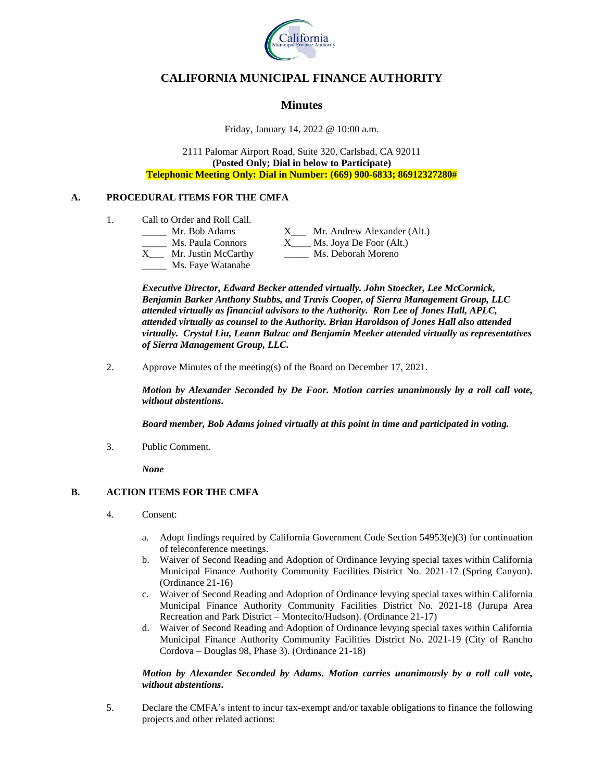

# **CALIFORNIA MUNICIPAL FINANCE AUTHORITY**

# **Minutes**

Friday, January 14, 2022 @ 10:00 a.m.

2111 Palomar Airport Road, Suite 320, Carlsbad, CA 92011 **(Posted Only; Dial in below to Participate) Telephonic Meeting Only: Dial in Number: (669) 900-6833; 86912327280#**

## **A. PROCEDURAL ITEMS FOR THE CMFA**

- 1. Call to Order and Roll Call.
	- Mr. Bob Adams X Mr. Andrew Alexander (Alt.) \_\_\_\_\_ Ms. Paula Connors X\_\_\_\_ Ms. Joya De Foor (Alt.) X\_\_\_ Mr. Justin McCarthy \_\_\_\_\_ Ms. Deborah Moreno Ms. Faye Watanabe

*Executive Director, Edward Becker attended virtually. John Stoecker, Lee McCormick, Benjamin Barker Anthony Stubbs, and Travis Cooper, of Sierra Management Group, LLC attended virtually as financial advisors to the Authority. Ron Lee of Jones Hall, APLC, attended virtually as counsel to the Authority. Brian Haroldson of Jones Hall also attended virtually. Crystal Liu, Leann Balzac and Benjamin Meeker attended virtually as representatives of Sierra Management Group, LLC.*

2. Approve Minutes of the meeting(s) of the Board on December 17, 2021.

*Motion by Alexander Seconded by De Foor. Motion carries unanimously by a roll call vote, without abstentions***.**

*Board member, Bob Adams joined virtually at this point in time and participated in voting.* 

3. Public Comment.

*None*

## **B. ACTION ITEMS FOR THE CMFA**

- 4. Consent:
	- a. Adopt findings required by California Government Code Section 54953(e)(3) for continuation of teleconference meetings.
	- b. Waiver of Second Reading and Adoption of Ordinance levying special taxes within California Municipal Finance Authority Community Facilities District No. 2021-17 (Spring Canyon). (Ordinance 21-16)
	- c. Waiver of Second Reading and Adoption of Ordinance levying special taxes within California Municipal Finance Authority Community Facilities District No. 2021-18 (Jurupa Area Recreation and Park District – Montecito/Hudson). (Ordinance 21-17)
	- d. Waiver of Second Reading and Adoption of Ordinance levying special taxes within California Municipal Finance Authority Community Facilities District No. 2021-19 (City of Rancho Cordova – Douglas 98, Phase 3). (Ordinance 21-18)

## *Motion by Alexander Seconded by Adams. Motion carries unanimously by a roll call vote, without abstentions***.**

5. Declare the CMFA's intent to incur tax-exempt and/or taxable obligations to finance the following projects and other related actions: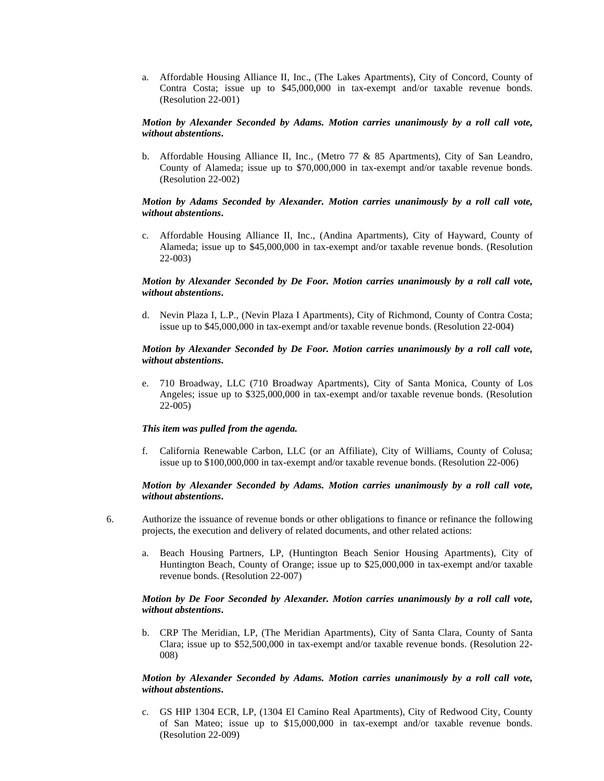a. Affordable Housing Alliance II, Inc., (The Lakes Apartments), City of Concord, County of Contra Costa; issue up to \$45,000,000 in tax-exempt and/or taxable revenue bonds. (Resolution 22-001)

### *Motion by Alexander Seconded by Adams. Motion carries unanimously by a roll call vote, without abstentions***.**

b. Affordable Housing Alliance II, Inc., (Metro 77 & 85 Apartments), City of San Leandro, County of Alameda; issue up to \$70,000,000 in tax-exempt and/or taxable revenue bonds. (Resolution 22-002)

## *Motion by Adams Seconded by Alexander. Motion carries unanimously by a roll call vote, without abstentions***.**

c. Affordable Housing Alliance II, Inc., (Andina Apartments), City of Hayward, County of Alameda; issue up to \$45,000,000 in tax-exempt and/or taxable revenue bonds. (Resolution 22-003)

## *Motion by Alexander Seconded by De Foor. Motion carries unanimously by a roll call vote, without abstentions***.**

d. Nevin Plaza I, L.P., (Nevin Plaza I Apartments), City of Richmond, County of Contra Costa; issue up to \$45,000,000 in tax-exempt and/or taxable revenue bonds. (Resolution 22-004)

#### *Motion by Alexander Seconded by De Foor. Motion carries unanimously by a roll call vote, without abstentions***.**

e. 710 Broadway, LLC (710 Broadway Apartments), City of Santa Monica, County of Los Angeles; issue up to \$325,000,000 in tax-exempt and/or taxable revenue bonds. (Resolution 22-005)

## *This item was pulled from the agenda.*

f. California Renewable Carbon, LLC (or an Affiliate), City of Williams, County of Colusa; issue up to \$100,000,000 in tax-exempt and/or taxable revenue bonds. (Resolution 22-006)

## *Motion by Alexander Seconded by Adams. Motion carries unanimously by a roll call vote, without abstentions***.**

- 6. Authorize the issuance of revenue bonds or other obligations to finance or refinance the following projects, the execution and delivery of related documents, and other related actions:
	- a. Beach Housing Partners, LP, (Huntington Beach Senior Housing Apartments), City of Huntington Beach, County of Orange; issue up to \$25,000,000 in tax-exempt and/or taxable revenue bonds. (Resolution 22-007)

## *Motion by De Foor Seconded by Alexander. Motion carries unanimously by a roll call vote, without abstentions***.**

b. CRP The Meridian, LP, (The Meridian Apartments), City of Santa Clara, County of Santa Clara; issue up to \$52,500,000 in tax-exempt and/or taxable revenue bonds. (Resolution 22- 008)

## *Motion by Alexander Seconded by Adams. Motion carries unanimously by a roll call vote, without abstentions***.**

c. GS HIP 1304 ECR, LP, (1304 El Camino Real Apartments), City of Redwood City, County of San Mateo; issue up to \$15,000,000 in tax-exempt and/or taxable revenue bonds. (Resolution 22-009)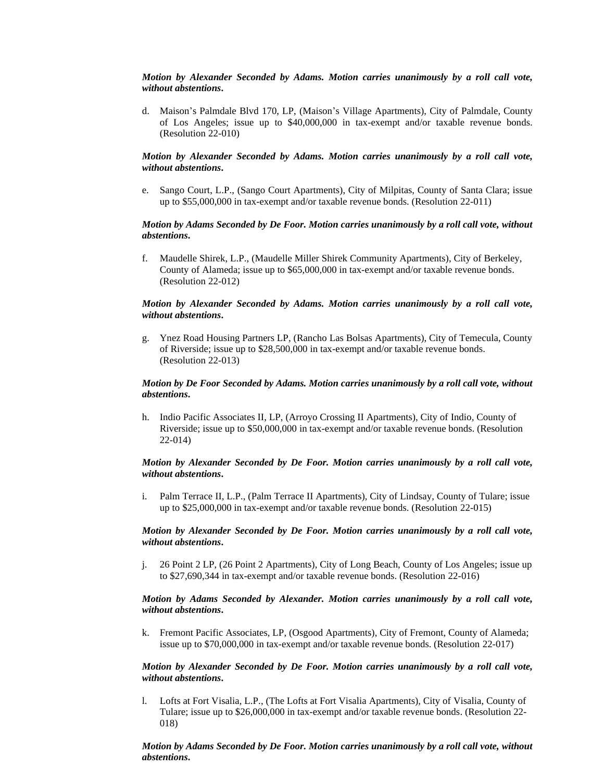## *Motion by Alexander Seconded by Adams. Motion carries unanimously by a roll call vote, without abstentions***.**

d. Maison's Palmdale Blvd 170, LP, (Maison's Village Apartments), City of Palmdale, County of Los Angeles; issue up to \$40,000,000 in tax-exempt and/or taxable revenue bonds. (Resolution 22-010)

## *Motion by Alexander Seconded by Adams. Motion carries unanimously by a roll call vote, without abstentions***.**

e. Sango Court, L.P., (Sango Court Apartments), City of Milpitas, County of Santa Clara; issue up to \$55,000,000 in tax-exempt and/or taxable revenue bonds. (Resolution 22-011)

## *Motion by Adams Seconded by De Foor. Motion carries unanimously by a roll call vote, without abstentions***.**

f. Maudelle Shirek, L.P., (Maudelle Miller Shirek Community Apartments), City of Berkeley, County of Alameda; issue up to \$65,000,000 in tax-exempt and/or taxable revenue bonds. (Resolution 22-012)

## *Motion by Alexander Seconded by Adams. Motion carries unanimously by a roll call vote, without abstentions***.**

g. Ynez Road Housing Partners LP, (Rancho Las Bolsas Apartments), City of Temecula, County of Riverside; issue up to \$28,500,000 in tax-exempt and/or taxable revenue bonds. (Resolution 22-013)

## *Motion by De Foor Seconded by Adams. Motion carries unanimously by a roll call vote, without abstentions***.**

h. Indio Pacific Associates II, LP, (Arroyo Crossing II Apartments), City of Indio, County of Riverside; issue up to \$50,000,000 in tax-exempt and/or taxable revenue bonds. (Resolution 22-014)

## *Motion by Alexander Seconded by De Foor. Motion carries unanimously by a roll call vote, without abstentions***.**

i. Palm Terrace II, L.P., (Palm Terrace II Apartments), City of Lindsay, County of Tulare; issue up to \$25,000,000 in tax-exempt and/or taxable revenue bonds. (Resolution 22-015)

#### *Motion by Alexander Seconded by De Foor. Motion carries unanimously by a roll call vote, without abstentions***.**

j. 26 Point 2 LP, (26 Point 2 Apartments), City of Long Beach, County of Los Angeles; issue up to \$27,690,344 in tax-exempt and/or taxable revenue bonds. (Resolution 22-016)

## *Motion by Adams Seconded by Alexander. Motion carries unanimously by a roll call vote, without abstentions***.**

k. Fremont Pacific Associates, LP, (Osgood Apartments), City of Fremont, County of Alameda; issue up to \$70,000,000 in tax-exempt and/or taxable revenue bonds. (Resolution 22-017)

## *Motion by Alexander Seconded by De Foor. Motion carries unanimously by a roll call vote, without abstentions***.**

l. Lofts at Fort Visalia, L.P., (The Lofts at Fort Visalia Apartments), City of Visalia, County of Tulare; issue up to \$26,000,000 in tax-exempt and/or taxable revenue bonds. (Resolution 22- 018)

## *Motion by Adams Seconded by De Foor. Motion carries unanimously by a roll call vote, without abstentions***.**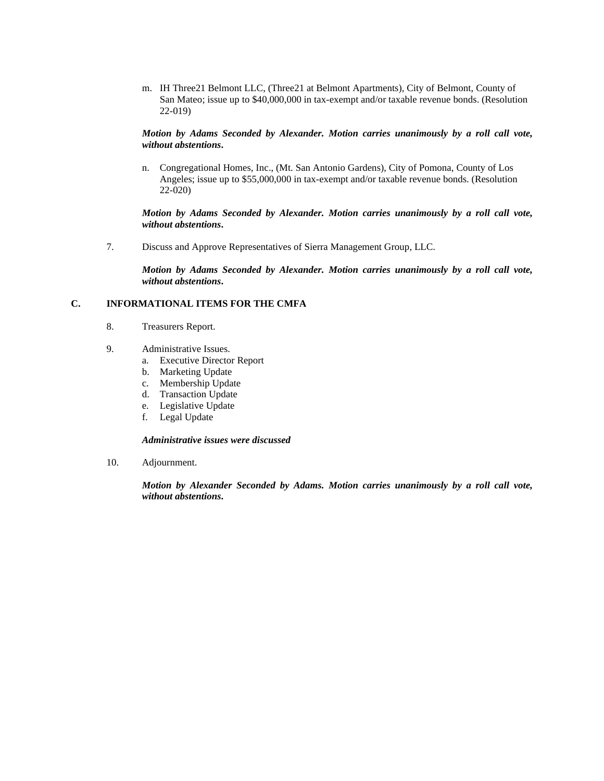m. IH Three21 Belmont LLC, (Three21 at Belmont Apartments), City of Belmont, County of San Mateo; issue up to \$40,000,000 in tax-exempt and/or taxable revenue bonds. (Resolution 22-019)

## *Motion by Adams Seconded by Alexander. Motion carries unanimously by a roll call vote, without abstentions***.**

n. Congregational Homes, Inc., (Mt. San Antonio Gardens), City of Pomona, County of Los Angeles; issue up to \$55,000,000 in tax-exempt and/or taxable revenue bonds. (Resolution 22-020)

## *Motion by Adams Seconded by Alexander. Motion carries unanimously by a roll call vote, without abstentions***.**

7. Discuss and Approve Representatives of Sierra Management Group, LLC.

*Motion by Adams Seconded by Alexander. Motion carries unanimously by a roll call vote, without abstentions***.**

## **C. INFORMATIONAL ITEMS FOR THE CMFA**

- 8. Treasurers Report.
- 9. Administrative Issues.
	- a. Executive Director Report
	- b. Marketing Update
	- c. Membership Update
	- d. Transaction Update
	- e. Legislative Update
	- f. Legal Update

## *Administrative issues were discussed*

10. Adjournment.

*Motion by Alexander Seconded by Adams. Motion carries unanimously by a roll call vote, without abstentions***.**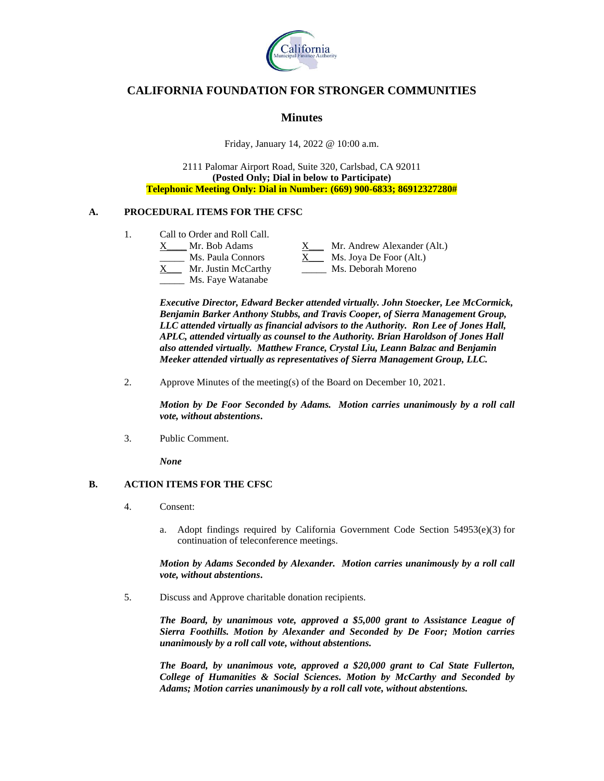

# **CALIFORNIA FOUNDATION FOR STRONGER COMMUNITIES**

## **Minutes**

Friday, January 14, 2022 @ 10:00 a.m.

2111 Palomar Airport Road, Suite 320, Carlsbad, CA 92011 **(Posted Only; Dial in below to Participate) Telephonic Meeting Only: Dial in Number: (669) 900-6833; 86912327280#**

## **A. PROCEDURAL ITEMS FOR THE CFSC**

- 1. Call to Order and Roll Call.
	- X Mr. Bob Adams X Mr. Andrew Alexander (Alt.) Ms. Paula Connors  $X_$  Ms. Joya De Foor (Alt.) X\_\_\_ Mr. Justin McCarthy \_\_\_\_\_ Ms. Deborah Moreno Ms. Faye Watanabe

*Executive Director, Edward Becker attended virtually. John Stoecker, Lee McCormick, Benjamin Barker Anthony Stubbs, and Travis Cooper, of Sierra Management Group, LLC attended virtually as financial advisors to the Authority. Ron Lee of Jones Hall, APLC, attended virtually as counsel to the Authority. Brian Haroldson of Jones Hall also attended virtually. Matthew France, Crystal Liu, Leann Balzac and Benjamin Meeker attended virtually as representatives of Sierra Management Group, LLC.*

2. Approve Minutes of the meeting(s) of the Board on December 10, 2021.

*Motion by De Foor Seconded by Adams. Motion carries unanimously by a roll call vote, without abstentions***.**

3. Public Comment.

*None*

## **B. ACTION ITEMS FOR THE CFSC**

- 4. Consent:
	- a. Adopt findings required by California Government Code Section  $54953(e)(3)$  for continuation of teleconference meetings.

*Motion by Adams Seconded by Alexander. Motion carries unanimously by a roll call vote, without abstentions***.**

5. Discuss and Approve charitable donation recipients.

*The Board, by unanimous vote, approved a \$5,000 grant to Assistance League of Sierra Foothills. Motion by Alexander and Seconded by De Foor; Motion carries unanimously by a roll call vote, without abstentions.* 

*The Board, by unanimous vote, approved a \$20,000 grant to Cal State Fullerton, College of Humanities & Social Sciences. Motion by McCarthy and Seconded by Adams; Motion carries unanimously by a roll call vote, without abstentions.*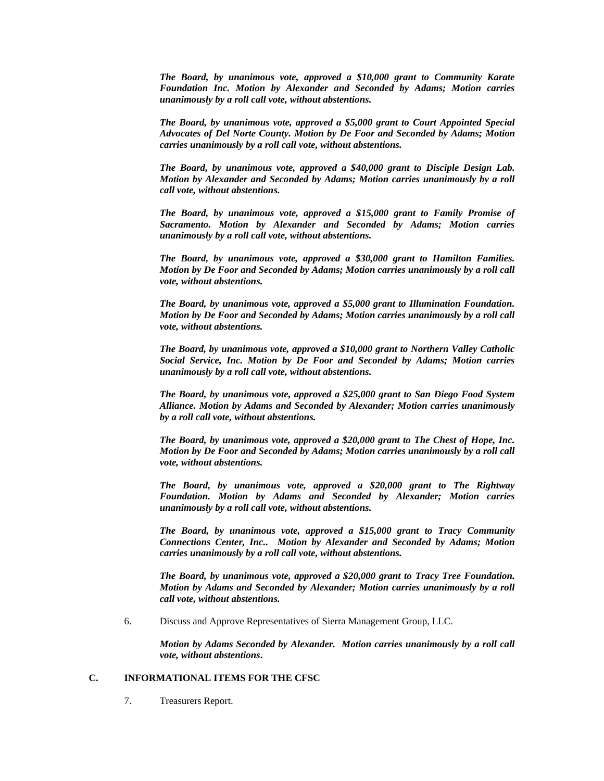*The Board, by unanimous vote, approved a \$10,000 grant to Community Karate Foundation Inc. Motion by Alexander and Seconded by Adams; Motion carries unanimously by a roll call vote, without abstentions.* 

*The Board, by unanimous vote, approved a \$5,000 grant to Court Appointed Special Advocates of Del Norte County. Motion by De Foor and Seconded by Adams; Motion carries unanimously by a roll call vote, without abstentions.* 

*The Board, by unanimous vote, approved a \$40,000 grant to Disciple Design Lab. Motion by Alexander and Seconded by Adams; Motion carries unanimously by a roll call vote, without abstentions.* 

*The Board, by unanimous vote, approved a \$15,000 grant to Family Promise of Sacramento. Motion by Alexander and Seconded by Adams; Motion carries unanimously by a roll call vote, without abstentions.* 

*The Board, by unanimous vote, approved a \$30,000 grant to Hamilton Families. Motion by De Foor and Seconded by Adams; Motion carries unanimously by a roll call vote, without abstentions.* 

*The Board, by unanimous vote, approved a \$5,000 grant to Illumination Foundation. Motion by De Foor and Seconded by Adams; Motion carries unanimously by a roll call vote, without abstentions.* 

*The Board, by unanimous vote, approved a \$10,000 grant to Northern Valley Catholic Social Service, Inc. Motion by De Foor and Seconded by Adams; Motion carries unanimously by a roll call vote, without abstentions.* 

*The Board, by unanimous vote, approved a \$25,000 grant to San Diego Food System Alliance. Motion by Adams and Seconded by Alexander; Motion carries unanimously by a roll call vote, without abstentions.* 

*The Board, by unanimous vote, approved a \$20,000 grant to The Chest of Hope, Inc. Motion by De Foor and Seconded by Adams; Motion carries unanimously by a roll call vote, without abstentions.* 

*The Board, by unanimous vote, approved a \$20,000 grant to The Rightway Foundation. Motion by Adams and Seconded by Alexander; Motion carries unanimously by a roll call vote, without abstentions.* 

*The Board, by unanimous vote, approved a \$15,000 grant to Tracy Community Connections Center, Inc.. Motion by Alexander and Seconded by Adams; Motion carries unanimously by a roll call vote, without abstentions.* 

*The Board, by unanimous vote, approved a \$20,000 grant to Tracy Tree Foundation. Motion by Adams and Seconded by Alexander; Motion carries unanimously by a roll call vote, without abstentions.* 

6. Discuss and Approve Representatives of Sierra Management Group, LLC.

*Motion by Adams Seconded by Alexander. Motion carries unanimously by a roll call vote, without abstentions***.**

## **C. INFORMATIONAL ITEMS FOR THE CFSC**

7. Treasurers Report.